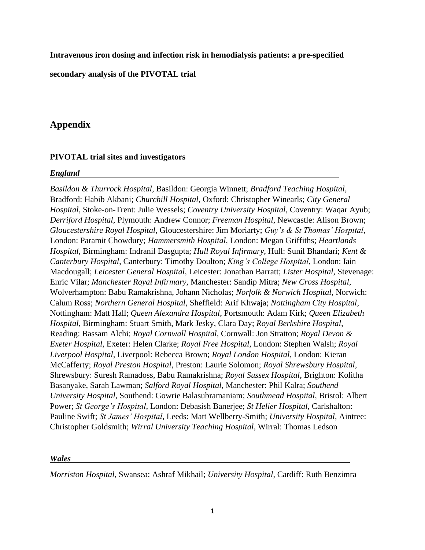**Intravenous iron dosing and infection risk in hemodialysis patients: a pre-specified** 

**secondary analysis of the PIVOTAL trial**

# **Appendix**

# **PIVOTAL trial sites and investigators**

### *England*

*Basildon & Thurrock Hospital*, Basildon: Georgia Winnett; *Bradford Teaching Hospital*, Bradford: Habib Akbani; *Churchill Hospital*, Oxford: Christopher Winearls; *City General Hospital*, Stoke-on-Trent: Julie Wessels; *Coventry University Hospital*, Coventry: Waqar Ayub; *Derriford Hospital*, Plymouth: Andrew Connor; *Freeman Hospital*, Newcastle: Alison Brown; *Gloucestershire Royal Hospital*, Gloucestershire: Jim Moriarty; *Guy's & St Thomas' Hospital*, London: Paramit Chowdury; *Hammersmith Hospital*, London: Megan Griffiths; *Heartlands Hospital*, Birmingham: Indranil Dasgupta; *Hull Royal Infirmary*, Hull: Sunil Bhandari; *Kent & Canterbury Hospital*, Canterbury: Timothy Doulton; *King's College Hospital*, London: Iain Macdougall; *Leicester General Hospital*, Leicester: Jonathan Barratt; *Lister Hospital*, Stevenage: Enric Vilar; *Manchester Royal Infirmary*, Manchester: Sandip Mitra; *New Cross Hospital*, Wolverhampton: Babu Ramakrishna, Johann Nicholas; *Norfolk & Norwich Hospital*, Norwich: Calum Ross; *Northern General Hospital*, Sheffield: Arif Khwaja; *Nottingham City Hospital*, Nottingham: Matt Hall; *Queen Alexandra Hospital*, Portsmouth: Adam Kirk; *Queen Elizabeth Hospital*, Birmingham: Stuart Smith, Mark Jesky, Clara Day; *Royal Berkshire Hospital*, Reading: Bassam Alchi; *Royal Cornwall Hospital*, Cornwall: Jon Stratton; *Royal Devon & Exeter Hospital*, Exeter: Helen Clarke; *Royal Free Hospital*, London: Stephen Walsh; *Royal Liverpool Hospital*, Liverpool: Rebecca Brown; *Royal London Hospital*, London: Kieran McCafferty; *Royal Preston Hospital*, Preston: Laurie Solomon; *Royal Shrewsbury Hospital*, Shrewsbury: Suresh Ramadoss, Babu Ramakrishna; *Royal Sussex Hospital*, Brighton: Kolitha Basanyake, Sarah Lawman; *Salford Royal Hospital*, Manchester: Phil Kalra; *Southend University Hospital*, Southend: Gowrie Balasubramaniam; *Southmead Hospital*, Bristol: Albert Power; *St George's Hospital*, London: Debasish Banerjee; *St Helier Hospital*, Carlshalton: Pauline Swift; *St James' Hospital*, Leeds: Matt Wellberry-Smith; *University Hospital*, Aintree: Christopher Goldsmith; *Wirral University Teaching Hospital*, Wirral: Thomas Ledson

# *Wales*

*Morriston Hospital*, Swansea: Ashraf Mikhail; *University Hospital*, Cardiff: Ruth Benzimra